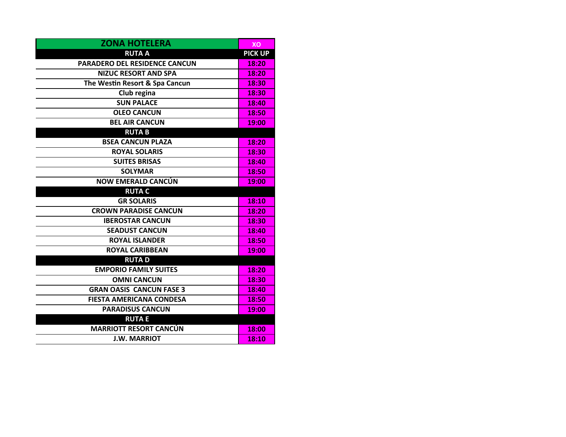| <b>ZONA HOTELERA</b>                 | XО             |
|--------------------------------------|----------------|
| <b>RUTA A</b>                        | <b>PICK UP</b> |
| <b>PARADERO DEL RESIDENCE CANCUN</b> | 18:20          |
| <b>NIZUC RESORT AND SPA</b>          | 18:20          |
| The Westin Resort & Spa Cancun       | 18:30          |
| Club regina                          | 18:30          |
| <b>SUN PALACE</b>                    | 18:40          |
| <b>OLEO CANCUN</b>                   | 18:50          |
| <b>BEL AIR CANCUN</b>                | 19:00          |
| <b>RUTAB</b>                         |                |
| <b>BSEA CANCUN PLAZA</b>             | 18:20          |
| <b>ROYAL SOLARIS</b>                 | 18:30          |
| <b>SUITES BRISAS</b>                 | 18:40          |
| <b>SOLYMAR</b>                       | 18:50          |
| <b>NOW EMERALD CANCÚN</b>            | 19:00          |
| <b>RUTA C</b>                        |                |
| <b>GR SOLARIS</b>                    | 18:10          |
| <b>CROWN PARADISE CANCUN</b>         | 18:20          |
| <b>IBEROSTAR CANCUN</b>              | 18:30          |
| <b>SEADUST CANCUN</b>                | 18:40          |
| <b>ROYAL ISLANDER</b>                | 18:50          |
| <b>ROYAL CARIBBEAN</b>               | 19:00          |
| <b>RUTAD</b>                         |                |
| <b>EMPORIO FAMILY SUITES</b>         | 18:20          |
| <b>OMNI CANCUN</b>                   | 18:30          |
| <b>GRAN OASIS CANCUN FASE 3</b>      | 18:40          |
| <b>FIESTA AMERICANA CONDESA</b>      | 18:50          |
| <b>PARADISUS CANCUN</b>              | 19:00          |
| <b>RUTAE</b>                         |                |
| <b>MARRIOTT RESORT CANCÚN</b>        | 18:00          |
| <b>J.W. MARRIOT</b>                  | 18:10          |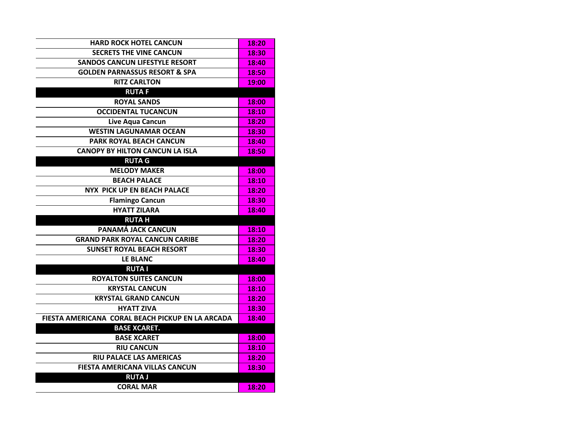| <b>HARD ROCK HOTEL CANCUN</b>                    | 18:20 |
|--------------------------------------------------|-------|
| <b>SECRETS THE VINE CANCUN</b>                   | 18:30 |
| <b>SANDOS CANCUN LIFESTYLE RESORT</b>            | 18:40 |
| <b>GOLDEN PARNASSUS RESORT &amp; SPA</b>         | 18:50 |
| <b>RITZ CARLTON</b>                              | 19:00 |
| <b>RUTAF</b>                                     |       |
| <b>ROYAL SANDS</b>                               | 18:00 |
| <b>OCCIDENTAL TUCANCUN</b>                       | 18:10 |
| Live Aqua Cancun                                 | 18:20 |
| <b>WESTIN LAGUNAMAR OCEAN</b>                    | 18:30 |
| PARK ROYAL BEACH CANCUN                          | 18:40 |
| <b>CANOPY BY HILTON CANCUN LA ISLA</b>           | 18:50 |
| <b>RUTA G</b>                                    |       |
| <b>MELODY MAKER</b>                              | 18:00 |
| <b>BEACH PALACE</b>                              | 18:10 |
| NYX PICK UP EN BEACH PALACE                      | 18:20 |
| <b>Flamingo Cancun</b>                           | 18:30 |
| <b>HYATT ZILARA</b>                              | 18:40 |
| <b>RUTAH</b>                                     |       |
| PANAMÁ JACK CANCUN                               | 18:10 |
| <b>GRAND PARK ROYAL CANCUN CARIBE</b>            | 18:20 |
| <b>SUNSET ROYAL BEACH RESORT</b>                 | 18:30 |
| <b>LE BLANC</b>                                  | 18:40 |
| <b>RUTA I</b>                                    |       |
| <b>ROYALTON SUITES CANCUN</b>                    | 18:00 |
| <b>KRYSTAL CANCUN</b>                            | 18:10 |
| <b>KRYSTAL GRAND CANCUN</b>                      | 18:20 |
| <b>HYATT ZIVA</b>                                | 18:30 |
| FIESTA AMERICANA CORAL BEACH PICKUP EN LA ARCADA | 18:40 |
| <b>BASE XCARET.</b>                              |       |
| <b>BASE XCARET</b>                               | 18:00 |
| <b>RIU CANCUN</b>                                | 18:10 |
| <b>RIU PALACE LAS AMERICAS</b>                   | 18:20 |
| FIESTA AMERICANA VILLAS CANCUN                   | 18:30 |
| <b>RUTA J</b>                                    |       |
| <b>CORAL MAR</b>                                 | 18:20 |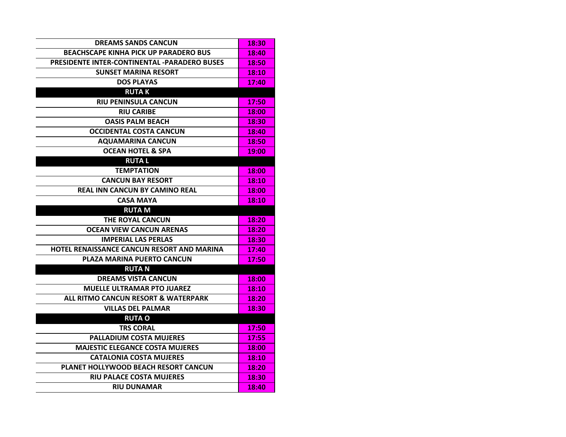| <b>DREAMS SANDS CANCUN</b>                          | 18:30 |
|-----------------------------------------------------|-------|
| <b>BEACHSCAPE KINHA PICK UP PARADERO BUS</b>        | 18:40 |
| <b>PRESIDENTE INTER-CONTINENTAL -PARADERO BUSES</b> | 18:50 |
| <b>SUNSET MARINA RESORT</b>                         | 18:10 |
| <b>DOS PLAYAS</b>                                   | 17:40 |
| <b>RUTAK</b>                                        |       |
| <b>RIU PENINSULA CANCUN</b>                         | 17:50 |
| <b>RIU CARIBE</b>                                   | 18:00 |
| <b>OASIS PALM BEACH</b>                             | 18:30 |
| <b>OCCIDENTAL COSTA CANCUN</b>                      | 18:40 |
| <b>AQUAMARINA CANCUN</b>                            | 18:50 |
| <b>OCEAN HOTEL &amp; SPA</b>                        | 19:00 |
| <b>RUTAL</b>                                        |       |
| <b>TEMPTATION</b>                                   | 18:00 |
| <b>CANCUN BAY RESORT</b>                            | 18:10 |
| <b>REAL INN CANCUN BY CAMINO REAL</b>               | 18:00 |
| <b>CASA MAYA</b>                                    | 18:10 |
| <b>RUTA M</b>                                       |       |
| <b>THE ROYAL CANCUN</b>                             | 18:20 |
| <b>OCEAN VIEW CANCUN ARENAS</b>                     | 18:20 |
| <b>IMPERIAL LAS PERLAS</b>                          | 18:30 |
| HOTEL RENAISSANCE CANCUN RESORT AND MARINA          | 17:40 |
| PLAZA MARINA PUERTO CANCUN                          | 17:50 |
| <b>RUTA N</b>                                       |       |
| <b>DREAMS VISTA CANCUN</b>                          | 18:00 |
| <b>MUELLE ULTRAMAR PTO JUAREZ</b>                   | 18:10 |
| ALL RITMO CANCUN RESORT & WATERPARK                 | 18:20 |
| <b>VILLAS DEL PALMAR</b>                            | 18:30 |
| <b>RUTA O</b>                                       |       |
| <b>TRS CORAL</b>                                    | 17:50 |
| <b>PALLADIUM COSTA MUJERES</b>                      | 17:55 |
| <b>MAJESTIC ELEGANCE COSTA MUJERES</b>              | 18:00 |
| <b>CATALONIA COSTA MUJERES</b>                      | 18:10 |
| PLANET HOLLYWOOD BEACH RESORT CANCUN                | 18:20 |
| <b>RIU PALACE COSTA MUJERES</b>                     | 18:30 |
| <b>RIU DUNAMAR</b>                                  | 18:40 |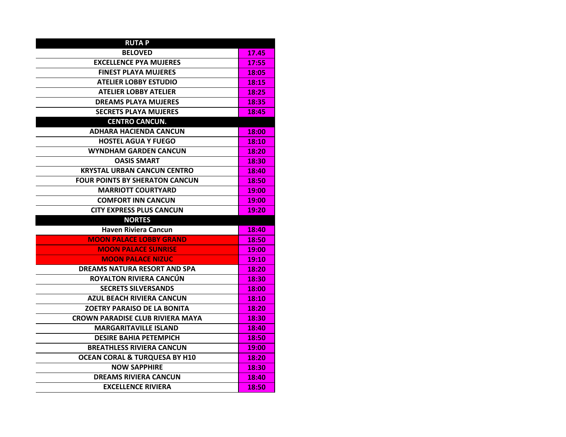| <b>RUTAP</b>                             |       |
|------------------------------------------|-------|
| <b>BELOVED</b>                           | 17.45 |
| <b>EXCELLENCE PYA MUJERES</b>            | 17:55 |
| <b>FINEST PLAYA MUJERES</b>              | 18:05 |
| <b>ATELIER LOBBY ESTUDIO</b>             | 18:15 |
| <b>ATELIER LOBBY ATELIER</b>             | 18:25 |
| <b>DREAMS PLAYA MUJERES</b>              | 18:35 |
| <b>SECRETS PLAYA MUJERES</b>             | 18:45 |
| <b>CENTRO CANCUN.</b>                    |       |
| <b>ADHARA HACIENDA CANCUN</b>            | 18:00 |
| <b>HOSTEL AGUA Y FUEGO</b>               | 18:10 |
| <b>WYNDHAM GARDEN CANCUN</b>             | 18:20 |
| <b>OASIS SMART</b>                       | 18:30 |
| <b>KRYSTAL URBAN CANCUN CENTRO</b>       | 18:40 |
| <b>FOUR POINTS BY SHERATON CANCUN</b>    | 18:50 |
| <b>MARRIOTT COURTYARD</b>                | 19:00 |
| <b>COMFORT INN CANCUN</b>                | 19:00 |
| <b>CITY EXPRESS PLUS CANCUN</b>          | 19:20 |
|                                          |       |
| <b>NORTES</b>                            |       |
| <b>Haven Riviera Cancun</b>              | 18:40 |
| <b>MOON PALACE LOBBY GRAND</b>           | 18:50 |
| <b>MOON PALACE SUNRISE</b>               | 19:00 |
| <b>MOON PALACE NIZUC</b>                 | 19:10 |
| <b>DREAMS NATURA RESORT AND SPA</b>      | 18:20 |
| ROYALTON RIVIERA CANCÚN                  | 18:30 |
| <b>SECRETS SILVERSANDS</b>               | 18:00 |
| <b>AZUL BEACH RIVIERA CANCUN</b>         | 18:10 |
| <b>ZOETRY PARAISO DE LA BONITA</b>       | 18:20 |
| <b>CROWN PARADISE CLUB RIVIERA MAYA</b>  | 18:30 |
| <b>MARGARITAVILLE ISLAND</b>             | 18:40 |
| <b>DESIRE BAHIA PETEMPICH</b>            | 18:50 |
| <b>BREATHLESS RIVIERA CANCUN</b>         | 19:00 |
| <b>OCEAN CORAL &amp; TURQUESA BY H10</b> | 18:20 |
| <b>NOW SAPPHIRE</b>                      | 18:30 |
| <b>DREAMS RIVIERA CANCUN</b>             | 18:40 |